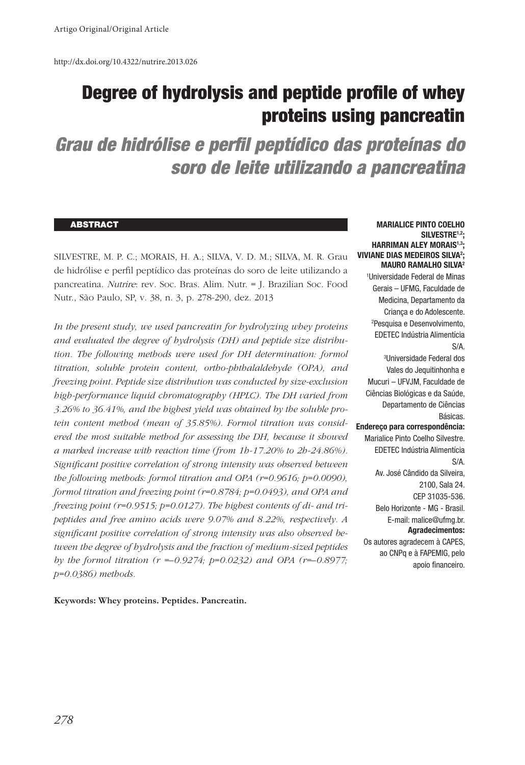http://dx.doi.org/10.4322/nutrire.2013.026

# Degree of hydrolysis and peptide profile of whey proteins using pancreatin

*Grau de hidrólise e perfil peptídico das proteínas do soro de leite utilizando a pancreatina*

#### **ABSTRACT**

SILVESTRE, M. P. C.; MORAIS, H. A.; SILVA, V. D. M.; SILVA, M. R. Grau de hidrólise e perfil peptídico das proteínas do soro de leite utilizando a pancreatina. Nutrire: rev. Soc. Bras. Alim. Nutr. = J. Brazilian Soc. Food Nutr., São Paulo, SP, v. 38, n. 3, p. 278-290, dez. 2013

*In the present study, we used pancreatin for hydrolyzing whey proteins and evaluated the degree of hydrolysis (DH) and peptide size distribution. The following methods were used for DH determination: formol titration, soluble protein content, ortho-phthalaldehyde (OPA), and freezing point. Peptide size distribution was conducted by size-exclusion high-performance liquid chromatography (HPLC). The DH varied from 3.26% to 36.41%, and the highest yield was obtained by the soluble protein content method (mean of 35.85%). Formol titration was considered the most suitable method for assessing the DH, because it showed a marked increase with reaction time (from 1h-17.20% to 2h-24.86%). Significant positive correlation of strong intensity was observed between the following methods: formol titration and OPA (r=0.9616; p=0.0090), formol titration and freezing point (r=0.8784; p=0.0493), and OPA and freezing point (r=0.9515; p=0.0127). The highest contents of di- and tripeptides and free amino acids were 9.07% and 8.22%, respectively. A significant positive correlation of strong intensity was also observed between the degree of hydrolysis and the fraction of medium-sized peptides by the formol titration (r =–0.9274; p=0.0232) and OPA (r=–0.8977; p=0.0386) methods.*

**Keywords: Whey proteins. Peptides. Pancreatin.**

#### **MARIALICE PINTO COELHO SILVESTRE1,2; HARRIMAN ALEY MORAIS1,3; VIVIANE DIAS MEDEIROS SILVA2 ; MAURO RAMALHO SILVA2**

1 Universidade Federal de Minas Gerais – UFMG, Faculdade de Medicina, Departamento da Criança e do Adolescente. 2 Pesquisa e Desenvolvimento, EDETEC Indústria Alimentícia S/A. 3 Universidade Federal dos Vales do Jequitinhonha e Mucuri – UFVJM, Faculdade de Ciências Biológicas e da Saúde, Departamento de Ciências Básicas. **Endereço para correspondência:** Marialice Pinto Coelho Silvestre. EDETEC Indústria Alimentícia S/A. Av. José Cândido da Silveira, 2100, Sala 24. CEP 31035-536. Belo Horizonte - MG - Brasil. E-mail: malice@ufmg.br. **Agradecimentos:** Os autores agradecem à CAPES, ao CNPq e à FAPEMIG, pelo apoio financeiro.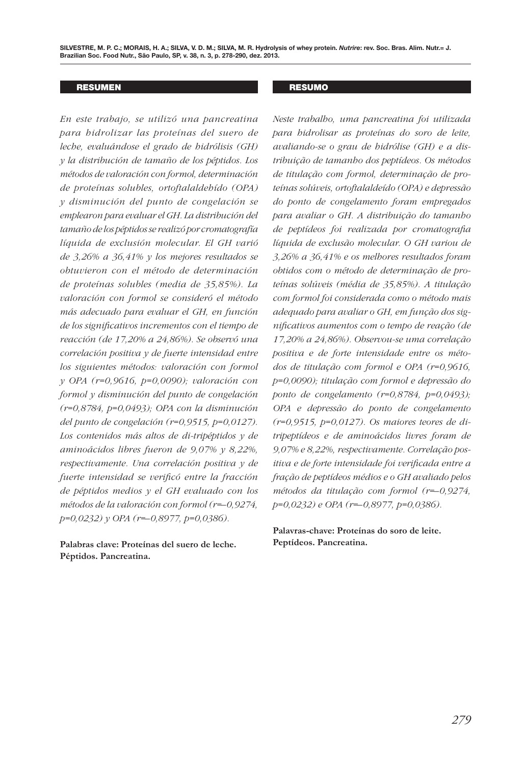SILVESTRE, M. P. C.; MORAIS, H. A.; SILVA, V. D. M.; SILVA, M. R. Hydrolysis of whey protein. *Nutrire*: rev. Soc. Bras. Alim. Nutr.= J. **Brazilian Soc. Food Nutr., São Paulo, SP, v. 38, n. 3, p. 278-290, dez. 2013.**

#### RESUMEN

*En este trabajo, se utilizó una pancreatina para hidrolizar las proteínas del suero de leche, evaluándose el grado de hidrólisis (GH) y la distribución de tamaño de los péptidos. Los métodos de valoración con formol, determinación de proteínas solubles, ortoftalaldehído (OPA) y disminución del punto de congelación se emplearon para evaluar el GH. La distribución del tamaño de los péptidos se realizó por cromatografía líquida de exclusión molecular. El GH varió de 3,26% a 36,41% y los mejores resultados se obtuvieron con el método de determinación de proteínas solubles (media de 35,85%). La valoración con formol se consideró el método más adecuado para evaluar el GH, en función de los significativos incrementos con el tiempo de reacción (de 17,20% a 24,86%). Se observó una correlación positiva y de fuerte intensidad entre los siguientes métodos: valoración con formol y OPA (r=0,9616, p=0,0090); valoración con formol y disminución del punto de congelación (r=0,8784, p=0,0493); OPA con la disminución del punto de congelación (r=0,9515, p=0,0127). Los contenidos más altos de di-tripéptidos y de aminoácidos libres fueron de 9,07% y 8,22%, respectivamente. Una correlación positiva y de fuerte intensidad se verificó entre la fracción de péptidos medios y el GH evaluado con los métodos de la valoración con formol (r=–0,9274, p=0,0232) y OPA (r=–0,8977, p=0,0386).*

**Palabras clave: Proteínas del suero de leche. Péptidos. Pancreatina.**

#### RESUMO

*Neste trabalho, uma pancreatina foi utilizada para hidrolisar as proteínas do soro de leite, avaliando-se o grau de hidrólise (GH) e a distribuição de tamanho dos peptídeos. Os métodos de titulação com formol, determinação de proteínas solúveis, ortoftalaldeído (OPA) e depressão do ponto de congelamento foram empregados para avaliar o GH. A distribuição do tamanho de peptídeos foi realizada por cromatografia líquida de exclusão molecular. O GH variou de 3,26% a 36,41% e os melhores resultados foram obtidos com o método de determinação de proteínas solúveis (média de 35,85%). A titulação com formol foi considerada como o método mais adequado para avaliar o GH, em função dos significativos aumentos com o tempo de reação (de 17,20% a 24,86%). Observou-se uma correlação positiva e de forte intensidade entre os métodos de titulação com formol e OPA (r=0,9616, p=0,0090); titulação com formol e depressão do ponto de congelamento (r=0,8784, p=0,0493); OPA e depressão do ponto de congelamento (r=0,9515, p=0,0127). Os maiores teores de ditripeptídeos e de aminoácidos livres foram de 9,07% e 8,22%, respectivamente. Correlação positiva e de forte intensidade foi verificada entre a fração de peptídeos médios e o GH avaliado pelos métodos da titulação com formol (r=–0,9274, p=0,0232) e OPA (r=–0,8977, p=0,0386).*

**Palavras-chave: Proteínas do soro de leite. Peptídeos. Pancreatina.**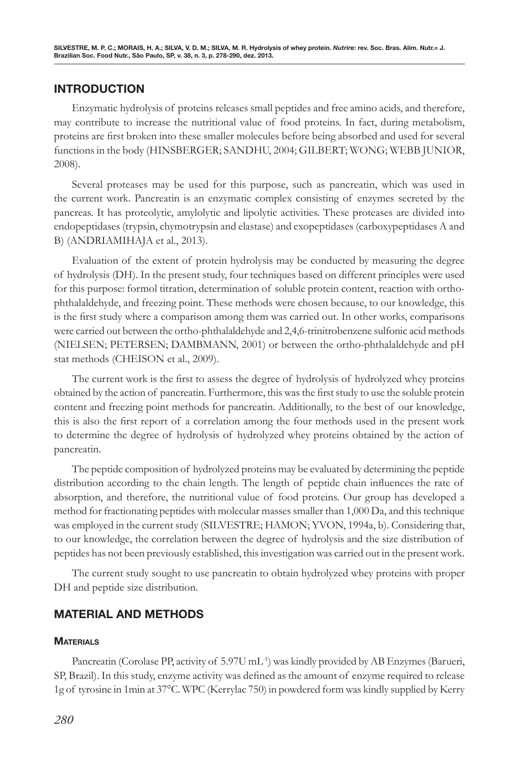# **INTRODUCTION**

Enzymatic hydrolysis of proteins releases small peptides and free amino acids, and therefore, may contribute to increase the nutritional value of food proteins. In fact, during metabolism, proteins are first broken into these smaller molecules before being absorbed and used for several functions in the body (HINSBERGER; SANDHU, 2004; GILBERT; WONG; WEBB JUNIOR, 2008).

Several proteases may be used for this purpose, such as pancreatin, which was used in the current work. Pancreatin is an enzymatic complex consisting of enzymes secreted by the pancreas. It has proteolytic, amylolytic and lipolytic activities. These proteases are divided into endopeptidases (trypsin, chymotrypsin and elastase) and exopeptidases (carboxypeptidases A and B) (ANDRIAMIHAJA et al., 2013).

Evaluation of the extent of protein hydrolysis may be conducted by measuring the degree of hydrolysis (DH). In the present study, four techniques based on different principles were used for this purpose: formol titration, determination of soluble protein content, reaction with orthophthalaldehyde, and freezing point. These methods were chosen because, to our knowledge, this is the first study where a comparison among them was carried out. In other works, comparisons were carried out between the ortho-phthalaldehyde and 2,4,6-trinitrobenzene sulfonic acid methods (NIELSEN; PETERSEN; DAMBMANN, 2001) or between the ortho-phthalaldehyde and pH stat methods (CHEISON et al., 2009).

The current work is the first to assess the degree of hydrolysis of hydrolyzed whey proteins obtained by the action of pancreatin. Furthermore, this was the first study to use the soluble protein content and freezing point methods for pancreatin. Additionally, to the best of our knowledge, this is also the first report of a correlation among the four methods used in the present work to determine the degree of hydrolysis of hydrolyzed whey proteins obtained by the action of pancreatin.

The peptide composition of hydrolyzed proteins may be evaluated by determining the peptide distribution according to the chain length. The length of peptide chain influences the rate of absorption, and therefore, the nutritional value of food proteins. Our group has developed a method for fractionating peptides with molecular masses smaller than 1,000 Da, and this technique was employed in the current study (SILVESTRE; HAMON; YVON, 1994a, b). Considering that, to our knowledge, the correlation between the degree of hydrolysis and the size distribution of peptides has not been previously established, this investigation was carried out in the present work.

The current study sought to use pancreatin to obtain hydrolyzed whey proteins with proper DH and peptide size distribution.

# **MATERIAL AND METHODS**

## **MATERIALS**

Pancreatin (Corolase PP, activity of 5.97U mL<sup>-1</sup>) was kindly provided by AB Enzymes (Barueri, SP, Brazil). In this study, enzyme activity was defined as the amount of enzyme required to release 1g of tyrosine in 1min at 37°C. WPC (Kerrylac 750) in powdered form was kindly supplied by Kerry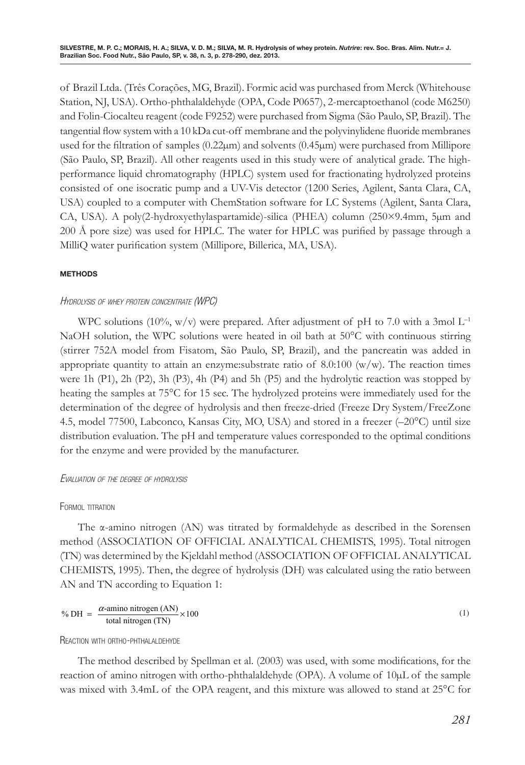of Brazil Ltda. (Três Corações, MG, Brazil). Formic acid was purchased from Merck (Whitehouse Station, NJ, USA). Ortho-phthalaldehyde (OPA, Code P0657), 2-mercaptoethanol (code M6250) and Folin-Ciocalteu reagent (code F9252) were purchased from Sigma (São Paulo, SP, Brazil). The tangential flow system with a 10 kDa cut-off membrane and the polyvinylidene fluoride membranes used for the filtration of samples (0.22µm) and solvents (0.45µm) were purchased from Millipore (São Paulo, SP, Brazil). All other reagents used in this study were of analytical grade. The highperformance liquid chromatography (HPLC) system used for fractionating hydrolyzed proteins consisted of one isocratic pump and a UV-Vis detector (1200 Series, Agilent, Santa Clara, CA, USA) coupled to a computer with ChemStation software for LC Systems (Agilent, Santa Clara, CA, USA). A poly(2-hydroxyethylaspartamide)-silica (PHEA) column (250×9.4mm, 5µm and 200 Å pore size) was used for HPLC. The water for HPLC was purified by passage through a MilliQ water purification system (Millipore, Billerica, MA, USA).

#### **methods**

## HYDROLYSIS OF WHEY PROTEIN CONCENTRATE (WPC)

WPC solutions (10%, w/v) were prepared. After adjustment of pH to 7.0 with a 3mol  $L^{-1}$ NaOH solution, the WPC solutions were heated in oil bath at 50°C with continuous stirring (stirrer 752A model from Fisatom, São Paulo, SP, Brazil), and the pancreatin was added in appropriate quantity to attain an enzyme: substrate ratio of 8.0:100 (w/w). The reaction times were 1h (P1), 2h (P2), 3h (P3), 4h (P4) and 5h (P5) and the hydrolytic reaction was stopped by heating the samples at 75°C for 15 sec. The hydrolyzed proteins were immediately used for the determination of the degree of hydrolysis and then freeze-dried (Freeze Dry System/FreeZone 4.5, model 77500, Labconco, Kansas City, MO, USA) and stored in a freezer (–20°C) until size distribution evaluation. The pH and temperature values corresponded to the optimal conditions for the enzyme and were provided by the manufacturer.

## Evaluation of the degree of hydrolysis

#### FORMOL TITRATION

The α-amino nitrogen (AN) was titrated by formaldehyde as described in the Sorensen method (ASSOCIATION OF OFFICIAL ANALYTICAL CHEMISTS, 1995). Total nitrogen (TN) was determined by the Kjeldahl method (ASSOCIATION OF OFFICIAL ANALYTICAL CHEMISTS, 1995). Then, the degree of hydrolysis (DH) was calculated using the ratio between AN and TN according to Equation 1:

$$
\% \text{ DH} = \frac{\alpha\text{-amino nitrogen (AN)}}{\text{total nitrogen (TN)}} \times 100 \tag{1}
$$

Reaction with ortho-phthalaldehyde

The method described by Spellman et al. (2003) was used, with some modifications, for the reaction of amino nitrogen with ortho-phthalaldehyde (OPA). A volume of 10µL of the sample was mixed with 3.4mL of the OPA reagent, and this mixture was allowed to stand at 25°C for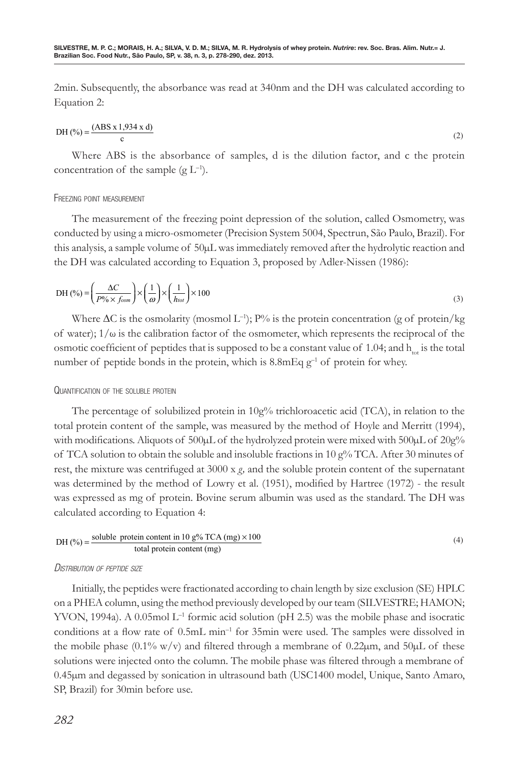2min. Subsequently, the absorbance was read at 340nm and the DH was calculated according to Equation 2:

DH 
$$
(\%) = \frac{(ABS \times 1,934 \times d)}{c}
$$
 (2)

Where ABS is the absorbance of samples, d is the dilution factor, and c the protein concentration of the sample  $(g L^{-1})$ .

#### Freezing point measurement

The measurement of the freezing point depression of the solution, called Osmometry, was conducted by using a micro-osmometer (Precision System 5004, Spectrun, São Paulo, Brazil). For this analysis, a sample volume of 50µL was immediately removed after the hydrolytic reaction and the DH was calculated according to Equation 3, proposed by Adler-Nissen (1986):

$$
DH\left(\frac{\Delta C}{P\% \times f_{osm}}\right) \times \left(\frac{1}{\omega}\right) \times \left(\frac{1}{h_{tot}}\right) \times 100\tag{3}
$$

Where  $\Delta C$  is the osmolarity (mosmol L<sup>-1</sup>); P% is the protein concentration (g of protein/kg) of water);  $1/\omega$  is the calibration factor of the osmometer, which represents the reciprocal of the osmotic coefficient of peptides that is supposed to be a constant value of 1.04; and  $h_{tot}$  is the total number of peptide bonds in the protein, which is  $8.8 \text{mEq g}^{-1}$  of protein for whey.

## Quantification of the soluble protein

The percentage of solubilized protein in  $10g\%$  trichloroacetic acid (TCA), in relation to the total protein content of the sample, was measured by the method of Hoyle and Merritt (1994), with modifications. Aliquots of  $500 \mu L$  of the hydrolyzed protein were mixed with  $500 \mu L$  of  $20g\%$ of TCA solution to obtain the soluble and insoluble fractions in 10  $g\%$  TCA. After 30 minutes of rest, the mixture was centrifuged at 3000 x *g,* and the soluble protein content of the supernatant was determined by the method of Lowry et al. (1951), modified by Hartree (1972) - the result was expressed as mg of protein. Bovine serum albumin was used as the standard. The DH was calculated according to Equation 4:

DH (%) = 
$$
\frac{\text{soluble protein content in 10 g\% TCA (mg) \times 100}}{\text{total protein content (mg)}}
$$
 (4)

## Distribution of peptide size

Initially, the peptides were fractionated according to chain length by size exclusion (SE) HPLC on a PHEA column, using the method previously developed by our team (SILVESTRE; HAMON; YVON, 1994a). A 0.05mol  $L^{-1}$  formic acid solution (pH 2.5) was the mobile phase and isocratic conditions at a flow rate of 0.5mL min–1 for 35min were used. The samples were dissolved in the mobile phase  $(0.1\% \text{ w/v})$  and filtered through a membrane of 0.22 $\mu$ m, and 50 $\mu$ L of these solutions were injected onto the column. The mobile phase was filtered through a membrane of 0.45µm and degassed by sonication in ultrasound bath (USC1400 model, Unique, Santo Amaro, SP, Brazil) for 30min before use.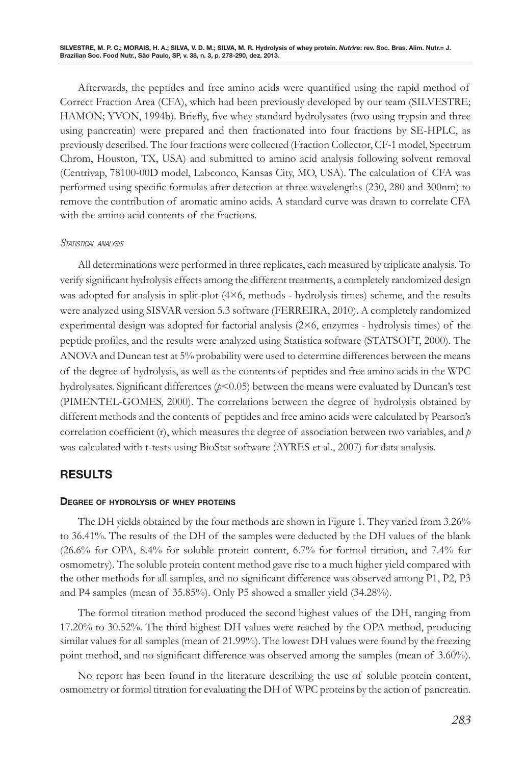Afterwards, the peptides and free amino acids were quantified using the rapid method of Correct Fraction Area (CFA), which had been previously developed by our team (SILVESTRE; HAMON; YVON, 1994b). Briefly, five whey standard hydrolysates (two using trypsin and three using pancreatin) were prepared and then fractionated into four fractions by SE-HPLC, as previously described. The four fractions were collected (Fraction Collector, CF-1 model, Spectrum Chrom, Houston, TX, USA) and submitted to amino acid analysis following solvent removal (Centrivap, 78100-00D model, Labconco, Kansas City, MO, USA). The calculation of CFA was performed using specific formulas after detection at three wavelengths (230, 280 and 300nm) to remove the contribution of aromatic amino acids. A standard curve was drawn to correlate CFA with the amino acid contents of the fractions.

## STATISTICAL ANALYSIS

All determinations were performed in three replicates, each measured by triplicate analysis. To verify significant hydrolysis effects among the different treatments, a completely randomized design was adopted for analysis in split-plot (4×6, methods - hydrolysis times) scheme, and the results were analyzed using SISVAR version 5.3 software (FERREIRA, 2010). A completely randomized experimental design was adopted for factorial analysis (2×6, enzymes - hydrolysis times) of the peptide profiles, and the results were analyzed using Statistica software (STATSOFT, 2000). The ANOVA and Duncan test at 5% probability were used to determine differences between the means of the degree of hydrolysis, as well as the contents of peptides and free amino acids in the WPC hydrolysates. Significant differences (*p*<0.05) between the means were evaluated by Duncan's test (PIMENTEL-GOMES, 2000). The correlations between the degree of hydrolysis obtained by different methods and the contents of peptides and free amino acids were calculated by Pearson's correlation coefficient (r), which measures the degree of association between two variables, and  $p$ was calculated with t-tests using BioStat software (AYRES et al., 2007) for data analysis.

# **RESULTS**

## **Degree of hydrolysis of whey proteins**

The DH yields obtained by the four methods are shown in Figure 1. They varied from 3.26% to 36.41%. The results of the DH of the samples were deducted by the DH values of the blank (26.6% for OPA, 8.4% for soluble protein content, 6.7% for formol titration, and 7.4% for osmometry). The soluble protein content method gave rise to a much higher yield compared with the other methods for all samples, and no significant difference was observed among P1, P2, P3 and P4 samples (mean of 35.85%). Only P5 showed a smaller yield (34.28%).

The formol titration method produced the second highest values of the DH, ranging from 17.20% to 30.52%. The third highest DH values were reached by the OPA method, producing similar values for all samples (mean of 21.99%). The lowest DH values were found by the freezing point method, and no significant difference was observed among the samples (mean of 3.60%).

No report has been found in the literature describing the use of soluble protein content, osmometry or formol titration for evaluating the DH of WPC proteins by the action of pancreatin.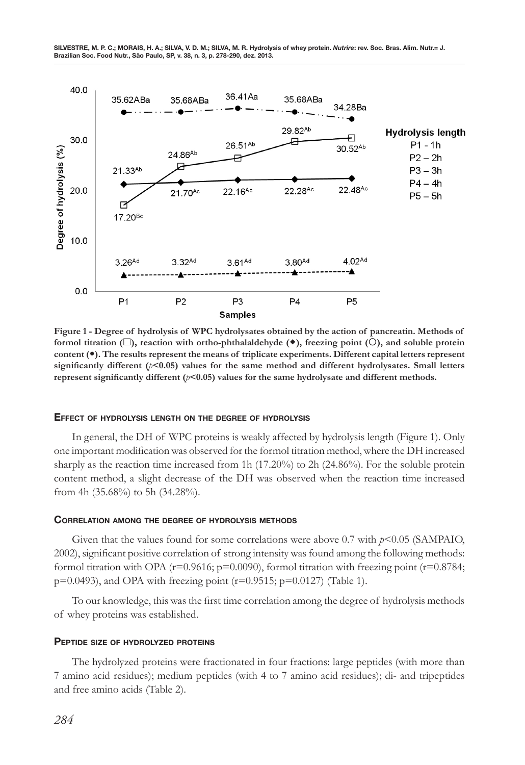

**Figure 1 - Degree of hydrolysis of WPC hydrolysates obtained by the action of pancreatin. Methods of formol titration (** $\square$ **), reaction with ortho-phthalaldehyde (** $\bullet$ **), freezing point (** $\square$ **), and soluble protein content (). The results represent the means of triplicate experiments. Different capital letters represent significantly different (***p***<0.05) values for the same method and different hydrolysates. Small letters represent significantly different (***p***<0.05) values for the same hydrolysate and different methods.**

#### **Effect of hydrolysis length on the degree of hydrolysis**

In general, the DH of WPC proteins is weakly affected by hydrolysis length (Figure 1). Only one important modification was observed for the formol titration method, where the DH increased sharply as the reaction time increased from 1h (17.20%) to 2h (24.86%). For the soluble protein content method, a slight decrease of the DH was observed when the reaction time increased from 4h (35.68%) to 5h (34.28%).

#### **Correlation among the degree of hydrolysis methods**

Given that the values found for some correlations were above 0.7 with  $p$ <0.05 (SAMPAIO, 2002), significant positive correlation of strong intensity was found among the following methods: formol titration with OPA ( $r=0.9616$ ;  $p=0.0090$ ), formol titration with freezing point ( $r=0.8784$ ;  $p=0.0493$ ), and OPA with freezing point (r=0.9515;  $p=0.0127$ ) (Table 1).

To our knowledge, this was the first time correlation among the degree of hydrolysis methods of whey proteins was established.

#### **Peptide size of hydrolyzed proteins**

The hydrolyzed proteins were fractionated in four fractions: large peptides (with more than 7 amino acid residues); medium peptides (with 4 to 7 amino acid residues); di- and tripeptides and free amino acids (Table 2).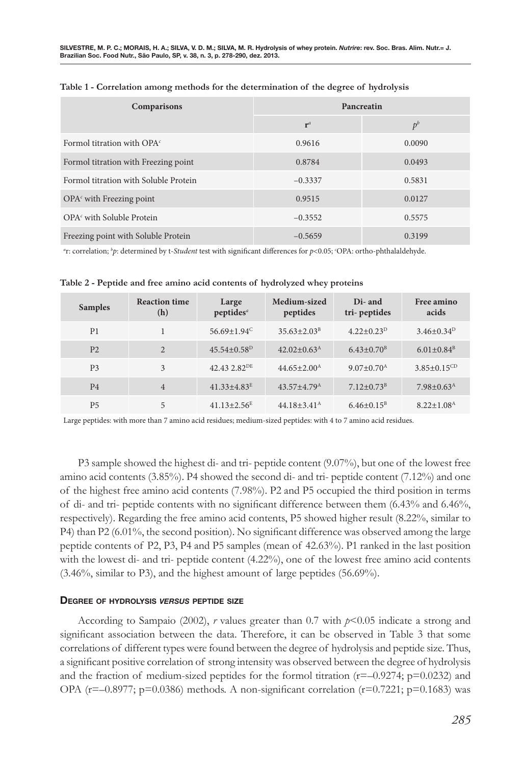| Comparisons                           | Pancreatin |        |  |
|---------------------------------------|------------|--------|--|
|                                       | $r^a$      | $p^b$  |  |
| Formol titration with OPA $\epsilon$  | 0.9616     | 0.0090 |  |
| Formol titration with Freezing point  | 0.8784     | 0.0493 |  |
| Formol titration with Soluble Protein | $-0.3337$  | 0.5831 |  |
| $OPAc$ with Freezing point            | 0.9515     | 0.0127 |  |
| OPA <sup>c</sup> with Soluble Protein | $-0.3552$  | 0.5575 |  |
| Freezing point with Soluble Protein   | $-0.5659$  | 0.3199 |  |

| Table 1 - Correlation among methods for the determination of the degree of hydrolysis |  |  |
|---------------------------------------------------------------------------------------|--|--|
|---------------------------------------------------------------------------------------|--|--|

*a* r: correlation; *<sup>b</sup> p*: determined by t-*Student* test with significant differences for *p*<0.05; *<sup>c</sup>* OPA: ortho-phthalaldehyde.

| <b>Samples</b> | <b>Reaction time</b><br>(h) | Large<br>peptides <sup>a</sup> | Medium-sized<br>peptides      | Di- and<br>tri-peptides      | Free amino<br>acids          |
|----------------|-----------------------------|--------------------------------|-------------------------------|------------------------------|------------------------------|
| P <sub>1</sub> |                             | $56.69 \pm 1.94^{\circ}$       | $35.63 \pm 2.03^{\mathrm{B}}$ | $4.22 \pm 0.23^{\rm D}$      | $3.46 \pm 0.34^D$            |
| P <sub>2</sub> | 2                           | $45.54 \pm 0.58^{\mathrm{D}}$  | $42.02 \pm 0.63^{\rm A}$      | $6.43 \pm 0.70$ <sup>B</sup> | $6.01 \pm 0.84^{\text{B}}$   |
| <b>P3</b>      | $\mathbf{3}$                | 42.43 2.82 <sup>DE</sup>       | $44.65 \pm 2.00^{\mathrm{A}}$ | $9.07 \pm 0.70^{\rm A}$      | $3.85 \pm 0.15^{CD}$         |
| <b>P4</b>      | $\overline{4}$              | $41.33 + 4.83^E$               | $43.57 + 4.79^{\text{A}}$     | $7.12 \pm 0.73^B$            | $7.98 \pm 0.63^{\text{A}}$   |
| <b>P5</b>      | 5                           | $41.13 \pm 2.56^E$             | $44.18 \pm 3.41^{\rm A}$      | $6.46\pm0.15^{\rm B}$        | $8.22 \pm 1.08$ <sup>A</sup> |

**Table 2 - Peptide and free amino acid contents of hydrolyzed whey proteins** 

Large peptides: with more than 7 amino acid residues; medium-sized peptides: with 4 to 7 amino acid residues.

P3 sample showed the highest di- and tri- peptide content (9.07%), but one of the lowest free amino acid contents (3.85%). P4 showed the second di- and tri- peptide content (7.12%) and one of the highest free amino acid contents (7.98%). P2 and P5 occupied the third position in terms of di- and tri- peptide contents with no significant difference between them (6.43% and 6.46%, respectively). Regarding the free amino acid contents, P5 showed higher result (8.22%, similar to P4) than P2 (6.01%, the second position). No significant difference was observed among the large peptide contents of P2, P3, P4 and P5 samples (mean of 42.63%). P1 ranked in the last position with the lowest di- and tri- peptide content (4.22%), one of the lowest free amino acid contents (3.46%, similar to P3), and the highest amount of large peptides (56.69%).

## **Degree of hydrolysis** *versus* **peptide size**

According to Sampaio (2002), *r* values greater than 0.7 with *p*<0.05 indicate a strong and significant association between the data. Therefore, it can be observed in Table 3 that some correlations of different types were found between the degree of hydrolysis and peptide size. Thus, a significant positive correlation of strong intensity was observed between the degree of hydrolysis and the fraction of medium-sized peptides for the formol titration ( $r=-0.9274$ ;  $p=0.0232$ ) and OPA ( $r=-0.8977$ ; p=0.0386) methods. A non-significant correlation ( $r=0.7221$ ; p=0.1683) was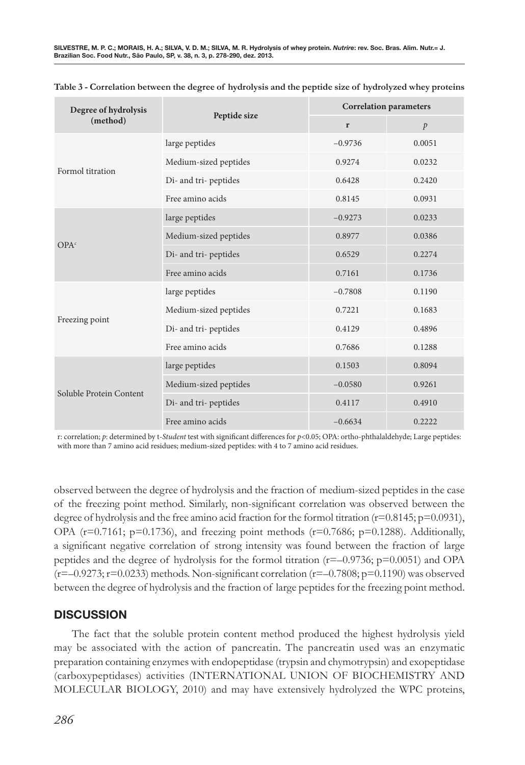| Degree of hydrolysis     |                       | <b>Correlation parameters</b> |               |  |
|--------------------------|-----------------------|-------------------------------|---------------|--|
| Peptide size<br>(method) |                       | r                             | $\mathcal{P}$ |  |
| Formol titration         | large peptides        | $-0.9736$                     | 0.0051        |  |
|                          | Medium-sized peptides | 0.9274                        | 0.0232        |  |
|                          | Di- and tri- peptides | 0.6428                        | 0.2420        |  |
|                          | Free amino acids      | 0.8145                        | 0.0931        |  |
|                          | large peptides        | $-0.9273$                     | 0.0233        |  |
|                          | Medium-sized peptides | 0.8977                        | 0.0386        |  |
| OPA <sup>c</sup>         | Di- and tri- peptides | 0.6529                        | 0.2274        |  |
|                          | Free amino acids      | 0.7161                        | 0.1736        |  |
| Freezing point           | large peptides        | $-0.7808$                     | 0.1190        |  |
|                          | Medium-sized peptides | 0.7221                        | 0.1683        |  |
|                          | Di- and tri- peptides | 0.4129                        | 0.4896        |  |
|                          | Free amino acids      | 0.7686                        | 0.1288        |  |
| Soluble Protein Content  | large peptides        | 0.1503                        | 0.8094        |  |
|                          | Medium-sized peptides | $-0.0580$                     | 0.9261        |  |
|                          | Di- and tri- peptides | 0.4117                        | 0.4910        |  |
|                          | Free amino acids      | $-0.6634$                     | 0.2222        |  |

**Table 3 - Correlation between the degree of hydrolysis and the peptide size of hydrolyzed whey proteins**

r: correlation; *p*: determined by t-*Student* test with significant differences for *p*<0.05; OPA: ortho-phthalaldehyde; Large peptides: with more than 7 amino acid residues; medium-sized peptides: with 4 to 7 amino acid residues.

observed between the degree of hydrolysis and the fraction of medium-sized peptides in the case of the freezing point method. Similarly, non-significant correlation was observed between the degree of hydrolysis and the free amino acid fraction for the formol titration (r=0.8145; p=0.0931), OPA ( $r=0.7161$ ;  $p=0.1736$ ), and freezing point methods ( $r=0.7686$ ;  $p=0.1288$ ). Additionally, a significant negative correlation of strong intensity was found between the fraction of large peptides and the degree of hydrolysis for the formol titration ( $r=-0.9736$ ;  $p=0.0051$ ) and OPA  $(r=-0.9273; r=0.0233)$  methods. Non-significant correlation  $(r=-0.7808; p=0.1190)$  was observed between the degree of hydrolysis and the fraction of large peptides for the freezing point method.

# **DISCUSSION**

The fact that the soluble protein content method produced the highest hydrolysis yield may be associated with the action of pancreatin. The pancreatin used was an enzymatic preparation containing enzymes with endopeptidase (trypsin and chymotrypsin) and exopeptidase (carboxypeptidases) activities (INTERNATIONAL UNION OF BIOCHEMISTRY AND MOLECULAR BIOLOGY, 2010) and may have extensively hydrolyzed the WPC proteins,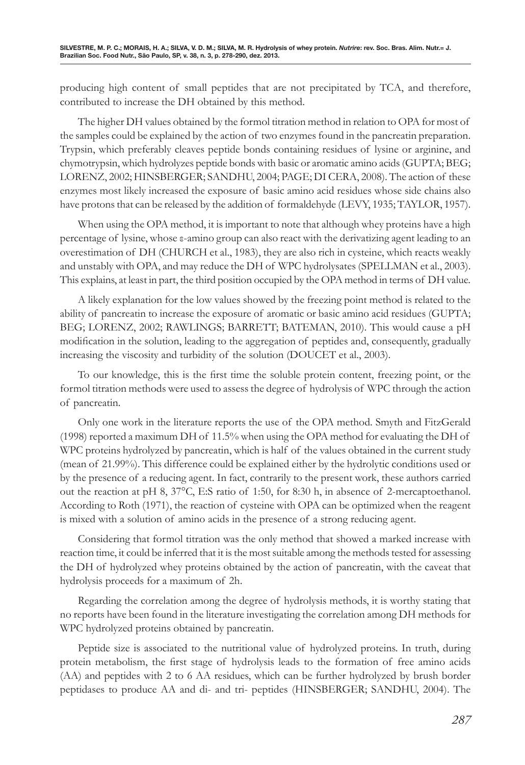producing high content of small peptides that are not precipitated by TCA, and therefore, contributed to increase the DH obtained by this method.

The higher DH values obtained by the formol titration method in relation to OPA for most of the samples could be explained by the action of two enzymes found in the pancreatin preparation. Trypsin, which preferably cleaves peptide bonds containing residues of lysine or arginine, and chymotrypsin, which hydrolyzes peptide bonds with basic or aromatic amino acids (GUPTA; BEG; LORENZ, 2002; HINSBERGER; SANDHU, 2004; PAGE; DI CERA, 2008). The action of these enzymes most likely increased the exposure of basic amino acid residues whose side chains also have protons that can be released by the addition of formaldehyde (LEVY, 1935; TAYLOR, 1957).

When using the OPA method, it is important to note that although whey proteins have a high percentage of lysine, whose ε-amino group can also react with the derivatizing agent leading to an overestimation of DH (CHURCH et al., 1983), they are also rich in cysteine, which reacts weakly and unstably with OPA, and may reduce the DH of WPC hydrolysates (SPELLMAN et al., 2003). This explains, at least in part, the third position occupied by the OPA method in terms of DH value.

A likely explanation for the low values showed by the freezing point method is related to the ability of pancreatin to increase the exposure of aromatic or basic amino acid residues (GUPTA; BEG; LORENZ, 2002; RAWLINGS; BARRETT; BATEMAN, 2010). This would cause a pH modification in the solution, leading to the aggregation of peptides and, consequently, gradually increasing the viscosity and turbidity of the solution (DOUCET et al., 2003).

To our knowledge, this is the first time the soluble protein content, freezing point, or the formol titration methods were used to assess the degree of hydrolysis of WPC through the action of pancreatin.

Only one work in the literature reports the use of the OPA method. Smyth and FitzGerald (1998) reported a maximum DH of 11.5% when using the OPA method for evaluating the DH of WPC proteins hydrolyzed by pancreatin, which is half of the values obtained in the current study (mean of 21.99%). This difference could be explained either by the hydrolytic conditions used or by the presence of a reducing agent. In fact, contrarily to the present work, these authors carried out the reaction at pH 8, 37°C, E:S ratio of 1:50, for 8:30 h, in absence of 2-mercaptoethanol. According to Roth (1971), the reaction of cysteine with OPA can be optimized when the reagent is mixed with a solution of amino acids in the presence of a strong reducing agent.

Considering that formol titration was the only method that showed a marked increase with reaction time, it could be inferred that it is the most suitable among the methods tested for assessing the DH of hydrolyzed whey proteins obtained by the action of pancreatin, with the caveat that hydrolysis proceeds for a maximum of 2h.

Regarding the correlation among the degree of hydrolysis methods, it is worthy stating that no reports have been found in the literature investigating the correlation among DH methods for WPC hydrolyzed proteins obtained by pancreatin.

Peptide size is associated to the nutritional value of hydrolyzed proteins. In truth, during protein metabolism, the first stage of hydrolysis leads to the formation of free amino acids (AA) and peptides with 2 to 6 AA residues, which can be further hydrolyzed by brush border peptidases to produce AA and di- and tri- peptides (HINSBERGER; SANDHU, 2004). The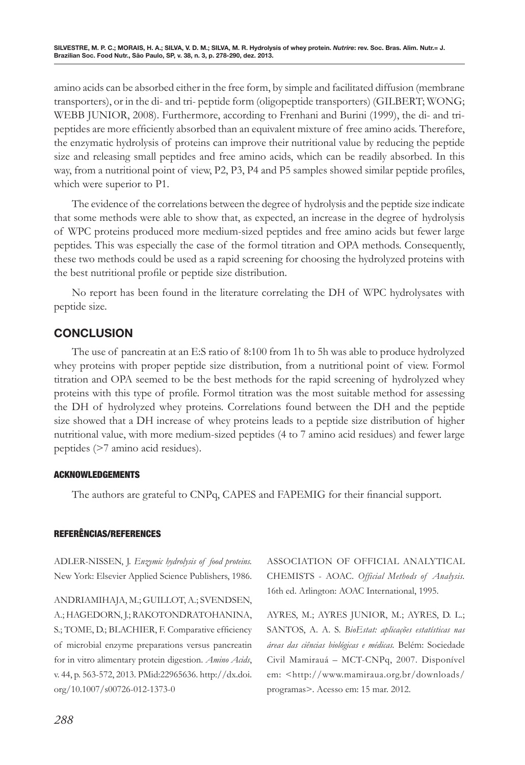amino acids can be absorbed either in the free form, by simple and facilitated diffusion (membrane transporters), or in the di- and tri- peptide form (oligopeptide transporters) (GILBERT; WONG; WEBB JUNIOR, 2008). Furthermore, according to Frenhani and Burini (1999), the di- and tripeptides are more efficiently absorbed than an equivalent mixture of free amino acids. Therefore, the enzymatic hydrolysis of proteins can improve their nutritional value by reducing the peptide size and releasing small peptides and free amino acids, which can be readily absorbed. In this way, from a nutritional point of view, P2, P3, P4 and P5 samples showed similar peptide profiles, which were superior to P1.

The evidence of the correlations between the degree of hydrolysis and the peptide size indicate that some methods were able to show that, as expected, an increase in the degree of hydrolysis of WPC proteins produced more medium-sized peptides and free amino acids but fewer large peptides. This was especially the case of the formol titration and OPA methods. Consequently, these two methods could be used as a rapid screening for choosing the hydrolyzed proteins with the best nutritional profile or peptide size distribution.

No report has been found in the literature correlating the DH of WPC hydrolysates with peptide size.

# **CONCLUSION**

The use of pancreatin at an E:S ratio of 8:100 from 1h to 5h was able to produce hydrolyzed whey proteins with proper peptide size distribution, from a nutritional point of view. Formol titration and OPA seemed to be the best methods for the rapid screening of hydrolyzed whey proteins with this type of profile. Formol titration was the most suitable method for assessing the DH of hydrolyzed whey proteins. Correlations found between the DH and the peptide size showed that a DH increase of whey proteins leads to a peptide size distribution of higher nutritional value, with more medium-sized peptides (4 to 7 amino acid residues) and fewer large peptides (>7 amino acid residues).

## ACKNOWLEDGEMENTS

The authors are grateful to CNPq, CAPES and FAPEMIG for their financial support.

## REFERÊNCIAS/REFERENCES

ADLER-NISSEN, J. *Enzymic hydrolysis of food proteins.* New York: Elsevier Applied Science Publishers, 1986.

ANDRIAMIHAJA, M.; GUILLOT, A.; SVENDSEN, A.; HAGEDORN, J.; RAKOTONDRATOHANINA, S.; TOME, D.; BLACHIER, F. Comparative efficiency of microbial enzyme preparations versus pancreatin for in vitro alimentary protein digestion. *Amino Acids*, v. 44, p. 563-572, 2013. PMid:22965636. [http://dx.doi.](http://dx.doi.org/10.1007/s00726-012-1373-0) [org/10.1007/s00726-012-1373-0](http://dx.doi.org/10.1007/s00726-012-1373-0)

ASSOCIATION OF OFFICIAL ANALYTICAL CHEMISTS - AOAC. *Official Methods of Analysis.* 16th ed. Arlington: AOAC International, 1995.

AYRES, M.; AYRES JUNIOR, M.; AYRES, D. L.; SANTOS, A. A. S. *BioEstat: aplicações estatísticas nas áreas das ciências biológicas e médicas.* Belém: Sociedade Civil Mamirauá – MCT-CNPq, 2007. Disponível em: <[http://www.mamiraua.org.br/downloads/](http://www.mamiraua.org.br/downloads/programas) [programas](http://www.mamiraua.org.br/downloads/programas)>. Acesso em: 15 mar. 2012.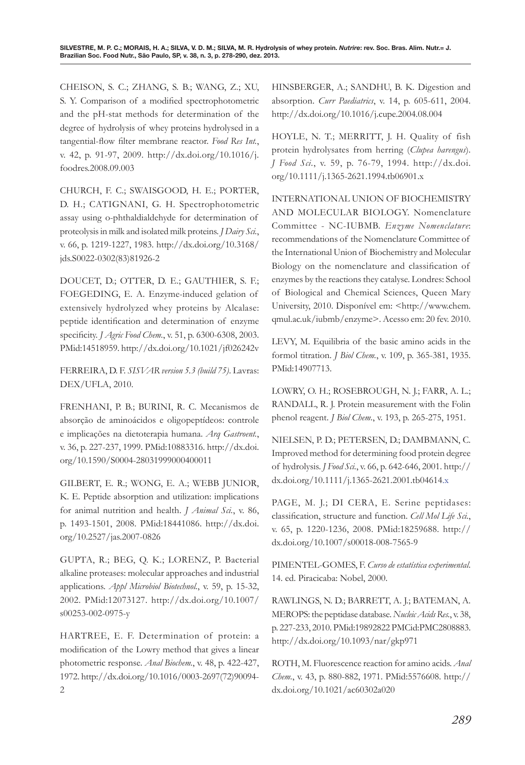CHEISON, S. C.; ZHANG, S. B.; WANG, Z.; XU, S. Y. Comparison of a modified spectrophotometric and the pH-stat methods for determination of the degree of hydrolysis of whey proteins hydrolysed in a tangential-flow filter membrane reactor. *Food Res Int.*, v. 42, p. 91-97, 2009. [http://dx.doi.org/10.1016/j.](http://dx.doi.org/10.1016/j.foodres.2008.09.003) [foodres.2008.09.003](http://dx.doi.org/10.1016/j.foodres.2008.09.003)

CHURCH, F. C.; SWAISGOOD, H. E.; PORTER, D. H.; CATIGNANI, G. H. Spectrophotometric assay using o-phthaldialdehyde for determination of proteolysis in milk and isolated milk proteins. *J Dairy Sci.*, v. 66, p. 1219-1227, 1983. [http://dx.doi.org/10.3168/](http://dx.doi.org/10.3168/jds.S0022-0302(83)81926-2) [jds.S0022-0302\(83\)81926-2](http://dx.doi.org/10.3168/jds.S0022-0302(83)81926-2)

DOUCET, D.; OTTER, D. E.; GAUTHIER, S. F.; FOEGEDING, E. A. Enzyme-induced gelation of extensively hydrolyzed whey proteins by Alcalase: peptide identification and determination of enzyme specificity. *J Agric Food Chem.*, v. 51, p. 6300-6308, 2003. PMid:14518959.<http://dx.doi.org/10.1021/jf026242v>

FERREIRA, D. F. *SISVAR version 5.3 (build 75)*. Lavras: DEX/UFLA, 2010.

FRENHANI, P. B.; BURINI, R. C. Mecanismos de absorção de aminoácidos e oligopeptídeos: controle e implicações na dietoterapia humana. *Arq Gastroent.*, v. 36, p. 227-237, 1999. PMid:10883316. [http://dx.doi.](http://dx.doi.org/10.1590/S0004-28031999000400011) [org/10.1590/S0004-28031999000400011](http://dx.doi.org/10.1590/S0004-28031999000400011)

GILBERT, E. R.; WONG, E. A.; WEBB JUNIOR, K. E. Peptide absorption and utilization: implications for animal nutrition and health. *J Animal Sci.*, v. 86, p. 1493-1501, 2008. PMid:18441086. [http://dx.doi.](http://dx.doi.org/10.2527/jas.2007-0826) [org/10.2527/jas.2007-0826](http://dx.doi.org/10.2527/jas.2007-0826)

GUPTA, R.; BEG, Q. K.; LORENZ, P. Bacterial alkaline proteases: molecular approaches and industrial applications. *Appl Microbiol Biotechnol.*, v. 59, p. 15-32, 2002. PMid:12073127. [http://dx.doi.org/10.1007/](http://dx.doi.org/10.1007/s00253-002-0975-y) [s00253-002-0975-y](http://dx.doi.org/10.1007/s00253-002-0975-y)

HARTREE, E. F. Determination of protein: a modification of the Lowry method that gives a linear photometric response. *Anal Biochem.*, v. 48, p. 422-427, 1972. [http://dx.doi.org/10.1016/0003-2697\(72\)90094-](http://dx.doi.org/10.1016/0003-2697(72)90094-2) [2](http://dx.doi.org/10.1016/0003-2697(72)90094-2)

HINSBERGER, A.; SANDHU, B. K. Digestion and absorption. *Curr Paediatrics*, v. 14, p. 605-611, 2004. <http://dx.doi.org/10.1016/j.cupe.2004.08.004>

HOYLE, N. T.; MERRITT, J. H. Quality of fish protein hydrolysates from herring (*Clupea harengus*). *J Food Sci.*, v. 59, p. 76-79, 1994. [http://dx.doi.](http://dx.doi.org/10.1111/j.1365-2621.1994.tb06901.x) [org/10.1111/j.1365-2621.1994.tb06901.x](http://dx.doi.org/10.1111/j.1365-2621.1994.tb06901.x)

INTERNATIONAL UNION OF BIOCHEMISTRY AND MOLECULAR BIOLOGY. Nomenclature Committee - NC-IUBMB. *Enzyme Nomenclature*: recommendations of the Nomenclature Committee of the International Union of Biochemistry and Molecular Biology on the nomenclature and classification of enzymes by the reactions they catalyse. Londres: School of Biological and Chemical Sciences, Queen Mary University, 2010. Disponível em: <[http://www.chem.](http://www.chem.qmul.ac.uk/iubmb/enzyme) [qmul.ac.uk/iubmb/enzyme](http://www.chem.qmul.ac.uk/iubmb/enzyme)>. Acesso em: 20 fev. 2010.

LEVY, M. Equilibria of the basic amino acids in the formol titration. *J Biol Chem.*, v. 109, p. 365-381, 1935. PMid:14907713.

LOWRY, O. H.; ROSEBROUGH, N. J.; FARR, A. L.; RANDALL, R. J. Protein measurement with the Folin phenol reagent. *J Biol Chem.*, v. 193, p. 265-275, 1951.

NIELSEN, P. D.; PETERSEN, D.; DAMBMANN, C. Improved method for determining food protein degree of hydrolysis. *J Food Sci.*, v. 66, p. 642-646, 2001. [http://](http://dx.doi.org/10.1111/j.1365-2621.2001.tb04614) [dx.doi.org/10.1111/j.1365-2621.2001.tb04614](http://dx.doi.org/10.1111/j.1365-2621.2001.tb04614).x

PAGE, M. J.; DI CERA, E. Serine peptidases: classification, structure and function. *Cell Mol Life Sci.*, v. 65, p. 1220-1236, 2008. PMid:18259688. [http://](http://dx.doi.org/10.1007/s00018-008-7565-9) [dx.doi.org/10.1007/s00018-008-7565-9](http://dx.doi.org/10.1007/s00018-008-7565-9)

PIMENTEL-GOMES, F. *Curso de estatística experimental*. 14. ed. Piracicaba: Nobel, 2000.

RAWLINGS, N. D.; BARRETT, A. J.; BATEMAN, A. MEROPS: the peptidase database. *Nucleic Acids Res.*, v. 38, p. 227-233, 2010. PMid:19892822 PMCid:PMC2808883. <http://dx.doi.org/10.1093/nar/gkp971>

ROTH, M. Fluorescence reaction for amino acids. *Anal Chem.*, v. 43, p. 880-882, 1971. PMid:5576608. [http://](http://dx.doi.org/10.1021/ac60302a020) [dx.doi.org/10.1021/ac60302a020](http://dx.doi.org/10.1021/ac60302a020)